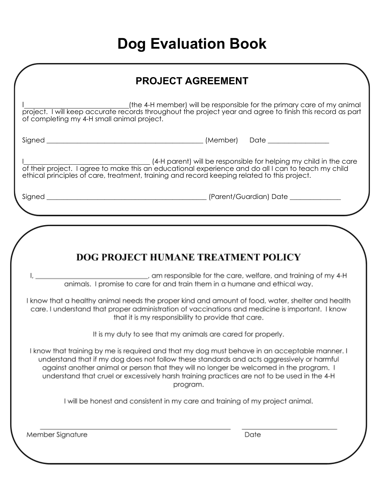# **Dog Evaluation Book**

| <b>PROJECT AGREEMENT</b> |
|--------------------------|
|                          |

I (the 4-H member) will be responsible for the primary care of my animal project. I will keep accurate records throughout the project year and agree to finish this record as part of completing my 4-H small animal project.

Signed \_\_\_\_\_\_\_\_\_\_\_\_\_\_\_\_\_\_\_\_\_\_\_\_\_\_\_\_\_\_\_\_\_\_\_\_\_\_\_\_\_\_\_\_\_\_ (Member) Date \_\_\_\_\_\_\_\_\_\_\_\_\_\_\_\_\_\_

I (4-H parent) will be responsible for helping my child in the care of their project. I agree to make this an educational experience and do all I can to teach my child ethical principles of care, treatment, training and record keeping related to this project.

Ι,

Signed \_\_\_\_\_\_\_\_\_\_\_\_\_\_\_\_\_\_\_\_\_\_\_\_\_\_\_\_\_\_\_\_\_\_\_\_\_\_\_\_\_\_\_\_\_\_\_ (Parent/Guardian) Date \_\_\_\_\_\_\_\_\_\_\_\_\_\_\_

## DOG PROJECT HUMANE TREATMENT POLICY

am responsible for the care, welfare, and training of my 4-H animals. I promise to care for and train them in a humane and ethical way.

I know that a healthy animal needs the proper kind and amount of food, water, shelter and health care. I understand that proper administration of vaccinations and medicine is important. I know that it is my responsibility to provide that care.

It is my duty to see that my animals are cared for properly.

I know that training by me is required and that my dog must behave in an acceptable manner. I understand that if my dog does not follow these standards and acts aggressively or harmful against another animal or person that they will no longer be welcomed in the program. I understand that cruel or excessively harsh training practices are not to be used in the 4-H program.

I will be honest and consistent in my care and training of my project animal.

Member Signature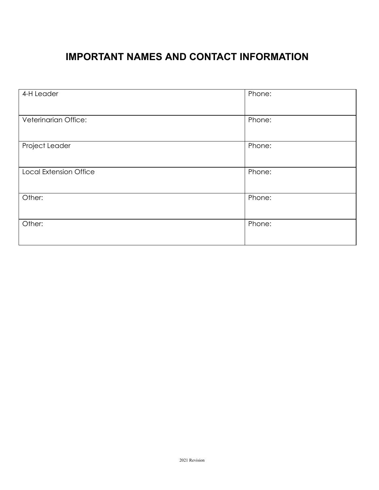## **IMPORTANT NAMES AND CONTACT INFORMATION**

| 4-H Leader                    | Phone: |
|-------------------------------|--------|
| Veterinarian Office:          | Phone: |
| Project Leader                | Phone: |
| <b>Local Extension Office</b> | Phone: |
| Other:                        | Phone: |
| Other:                        | Phone: |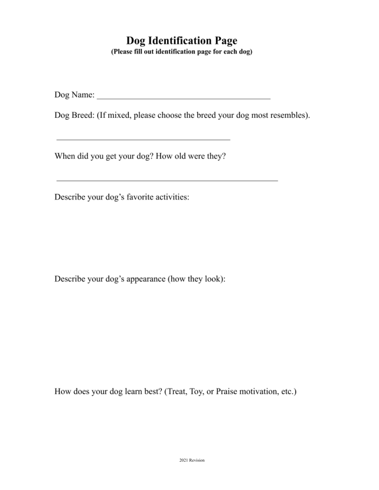## **Dog Identification Page**

(Please fill out identification page for each dog)

Dog Name:

Dog Breed: (If mixed, please choose the breed your dog most resembles).

the control of the control of the control of the control of the control of

When did you get your dog? How old were they?

Describe your dog's favorite activities:

Describe your dog's appearance (how they look):

How does your dog learn best? (Treat, Toy, or Praise motivation, etc.)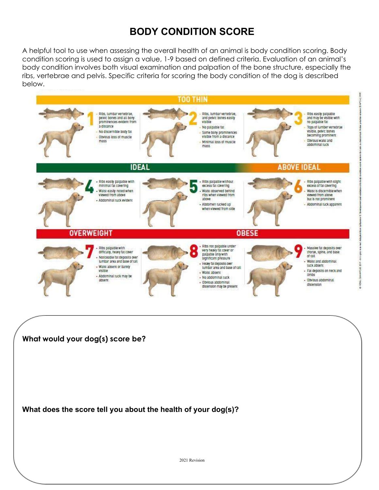## **BODY CONDITION SCORE**

A helpful tool to use when assessing the overall health of an animal is body condition scoring. Body condition scoring is used to assign a value, 1-9 based on defined criteria. Evaluation of an animal's body condition involves both visual examination and palpation of the bone structure, especially the ribs, vertebrae and pelvis. Specific criteria for scoring the body condition of the dog is described below.

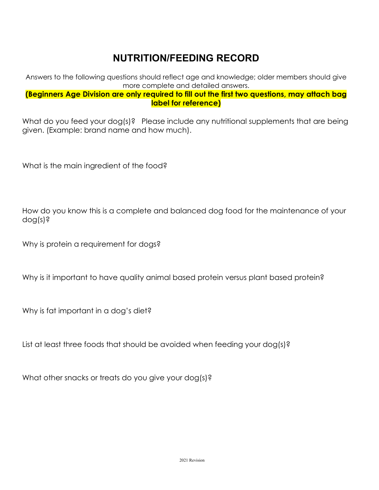## **NUTRITION/FEEDING RECORD**

Answers to the following questions should reflect age and knowledge; older members should give more complete and detailed answers.

#### **(Beginners Age Division are only required to fill out the first two questions, may attach bag label for reference)**

What do you feed your dog(s)? Please include any nutritional supplements that are being given. (Example: brand name and how much).

What is the main ingredient of the food?

How do you know this is a complete and balanced dog food for the maintenance of your dog(s)?

Why is protein a requirement for dogs?

Why is it important to have quality animal based protein versus plant based protein?

Why is fat important in a dog's diet?

List at least three foods that should be avoided when feeding your dog(s)?

What other snacks or treats do you give your dog(s)?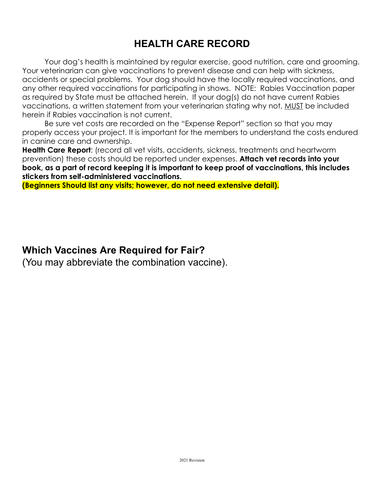## **HEALTH CARE RECORD**

Your dog's health is maintained by regular exercise, good nutrition, care and grooming. Your veterinarian can give vaccinations to prevent disease and can help with sickness, accidents or special problems. Your dog should have the locally required vaccinations, and any other required vaccinations for participating in shows. NOTE: Rabies Vaccination paper as required by State must be attached herein. If your dog(s) do not have current Rabies vaccinations, a written statement from your veterinarian stating why not, MUST be included herein if Rabies vaccination is not current.

Be sure vet costs are recorded on the "Expense Report" section so that you may properly access your project. It is important for the members to understand the costs endured in canine care and ownership.

**Health Care Report**: (record all vet visits, accidents, sickness, treatments and heartworm prevention) these costs should be reported under expenses. **Attach vet records into your book, as a part of record keeping it is important to keep proof of vaccinations, this includes stickers from self-administered vaccinations.**

**(Beginners Should list any visits; however, do not need extensive detail).**

### **Which Vaccines Are Required for Fair?**

(You may abbreviate the combination vaccine).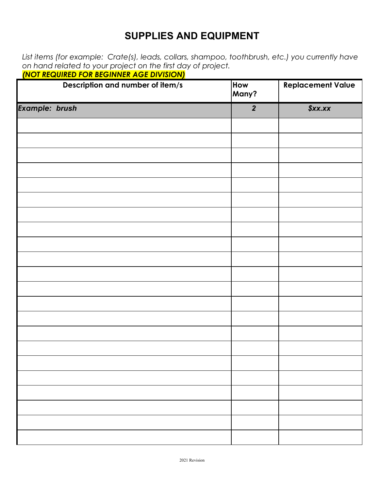### **SUPPLIES AND EQUIPMENT**

*List items (for example: Crate(s), leads, collars, shampoo, toothbrush, etc.) you currently have on hand related to your project on the first day of project.*

| <b>(NOT REQUIRED FOR BEGINNER AGE DIVISION)</b> |  |
|-------------------------------------------------|--|
|-------------------------------------------------|--|

|                       | Description and number of item/s | How<br>Many?     | <b>Replacement Value</b> |
|-----------------------|----------------------------------|------------------|--------------------------|
| <b>Example: brush</b> |                                  | $\boldsymbol{2}$ | \$xx.xx                  |
|                       |                                  |                  |                          |
|                       |                                  |                  |                          |
|                       |                                  |                  |                          |
|                       |                                  |                  |                          |
|                       |                                  |                  |                          |
|                       |                                  |                  |                          |
|                       |                                  |                  |                          |
|                       |                                  |                  |                          |
|                       |                                  |                  |                          |
|                       |                                  |                  |                          |
|                       |                                  |                  |                          |
|                       |                                  |                  |                          |
|                       |                                  |                  |                          |
|                       |                                  |                  |                          |
|                       |                                  |                  |                          |
|                       |                                  |                  |                          |
|                       |                                  |                  |                          |
|                       |                                  |                  |                          |
|                       |                                  |                  |                          |
|                       |                                  |                  |                          |
|                       |                                  |                  |                          |
|                       |                                  |                  |                          |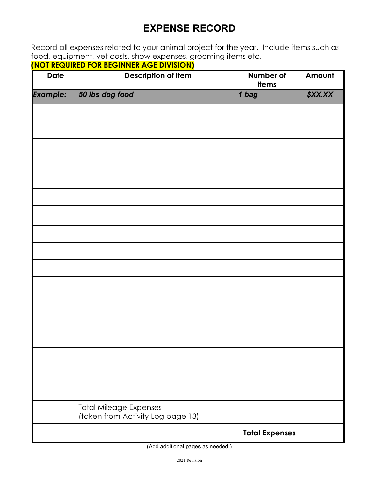## **EXPENSE RECORD**

Record all expenses related to your animal project for the year. Include items such as food, equipment, vet costs, show expenses, grooming items etc.

**(NOT REQUIRED FOR BEGINNER AGE DIVISION)**

| <b>Date</b>     | <u>,,,,,,,,,,,,,,,,</u><br><b>Description of item</b>       | Number of<br><b>Items</b> | Amount  |
|-----------------|-------------------------------------------------------------|---------------------------|---------|
| <b>Example:</b> | 50 lbs dog food                                             | $1$ bag                   | \$XX.XX |
|                 |                                                             |                           |         |
|                 |                                                             |                           |         |
|                 |                                                             |                           |         |
|                 |                                                             |                           |         |
|                 |                                                             |                           |         |
|                 |                                                             |                           |         |
|                 |                                                             |                           |         |
|                 |                                                             |                           |         |
|                 |                                                             |                           |         |
|                 |                                                             |                           |         |
|                 |                                                             |                           |         |
|                 |                                                             |                           |         |
|                 |                                                             |                           |         |
|                 |                                                             |                           |         |
|                 |                                                             |                           |         |
|                 |                                                             |                           |         |
|                 |                                                             |                           |         |
|                 | Total Mileage Expenses<br>(taken from Activity Log page 13) |                           |         |
|                 |                                                             | <b>Total Expenses</b>     |         |

(Add additional pages as needed.)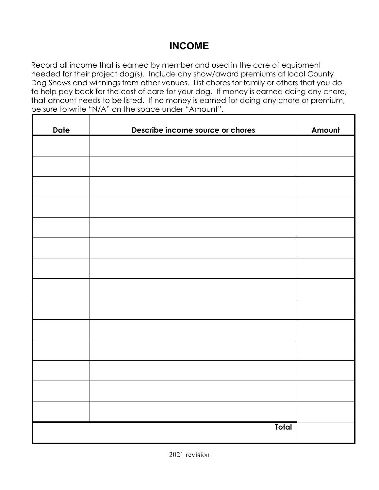## **INCOME**

Record all income that is earned by member and used in the care of equipment needed for their project dog(s). Include any show/award premiums at local County Dog Shows and winnings from other venues. List chores for family or others that you do to help pay back for the cost of care for your dog. If money is earned doing any chore, that amount needs to be listed. If no money is earned for doing any chore or premium, be sure to write "N/A" on the space under "Amount".

| <b>Date</b> | Describe income source or chores | Amount |
|-------------|----------------------------------|--------|
|             |                                  |        |
|             |                                  |        |
|             |                                  |        |
|             |                                  |        |
|             |                                  |        |
|             |                                  |        |
|             |                                  |        |
|             |                                  |        |
|             |                                  |        |
|             |                                  |        |
|             |                                  |        |
|             |                                  |        |
|             |                                  |        |
|             |                                  |        |
|             |                                  |        |
|             | Total                            |        |
|             |                                  |        |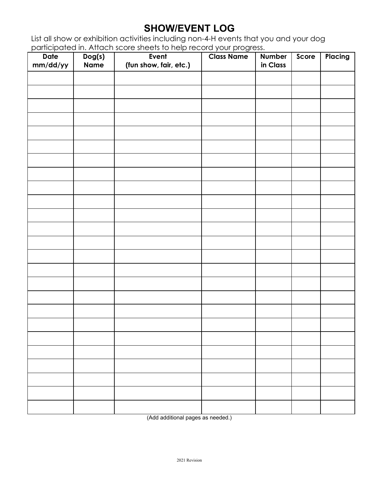### **SHOW/EVENT LOG**

List all show or exhibition activities including non-4-H events that you and your dog participated in. Attach score sheets to help record your progress.

| <b>Date</b><br>mm/dd/yy | $\overline{D}$ og(s)<br><b>Name</b> | paineiparoa int. Anaen seoro shoots forfolp rocora your progress.<br>Event<br>(fun show, fair, etc.) | <b>Class Name</b> | <b>Number</b><br>in Class | Score | Placing |
|-------------------------|-------------------------------------|------------------------------------------------------------------------------------------------------|-------------------|---------------------------|-------|---------|
|                         |                                     |                                                                                                      |                   |                           |       |         |
|                         |                                     |                                                                                                      |                   |                           |       |         |
|                         |                                     |                                                                                                      |                   |                           |       |         |
|                         |                                     |                                                                                                      |                   |                           |       |         |
|                         |                                     |                                                                                                      |                   |                           |       |         |
|                         |                                     |                                                                                                      |                   |                           |       |         |
|                         |                                     |                                                                                                      |                   |                           |       |         |
|                         |                                     |                                                                                                      |                   |                           |       |         |
|                         |                                     |                                                                                                      |                   |                           |       |         |
|                         |                                     |                                                                                                      |                   |                           |       |         |
|                         |                                     |                                                                                                      |                   |                           |       |         |
|                         |                                     |                                                                                                      |                   |                           |       |         |
|                         |                                     |                                                                                                      |                   |                           |       |         |
|                         |                                     |                                                                                                      |                   |                           |       |         |
|                         |                                     |                                                                                                      |                   |                           |       |         |
|                         |                                     |                                                                                                      |                   |                           |       |         |
|                         |                                     |                                                                                                      |                   |                           |       |         |
|                         |                                     |                                                                                                      |                   |                           |       |         |
|                         |                                     |                                                                                                      |                   |                           |       |         |
|                         |                                     |                                                                                                      |                   |                           |       |         |
|                         |                                     |                                                                                                      |                   |                           |       |         |
|                         |                                     |                                                                                                      |                   |                           |       |         |
|                         |                                     |                                                                                                      |                   |                           |       |         |
|                         |                                     |                                                                                                      |                   |                           |       |         |
|                         |                                     |                                                                                                      |                   |                           |       |         |

(Add additional pages as needed.)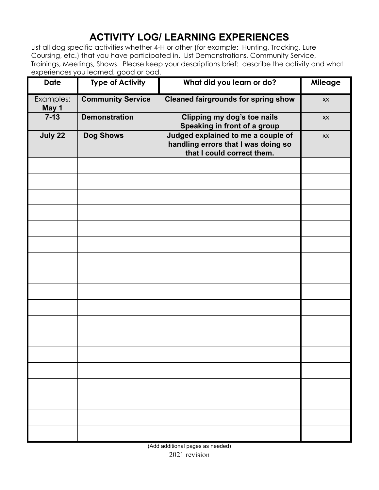## **ACTIVITY LOG/ LEARNING EXPERIENCES**

List all dog specific activities whether 4-H or other (for example: Hunting, Tracking, Lure Coursing, etc.) that you have participated in. List Demonstrations, Community Service, Trainings, Meetings, Shows. Please keep your descriptions brief: describe the activity and what experiences you learned, good or bad.

| <b>Date</b>        | <b>Type of Activity</b>  | What did you learn or do?                                                                               | Mileage |
|--------------------|--------------------------|---------------------------------------------------------------------------------------------------------|---------|
| Examples:<br>May 1 | <b>Community Service</b> | <b>Cleaned fairgrounds for spring show</b>                                                              | XX      |
| $7 - 13$           | <b>Demonstration</b>     | Clipping my dog's toe nails<br>Speaking in front of a group                                             | XX      |
| July 22            | <b>Dog Shows</b>         | Judged explained to me a couple of<br>handling errors that I was doing so<br>that I could correct them. | XX      |
|                    |                          |                                                                                                         |         |
|                    |                          |                                                                                                         |         |
|                    |                          |                                                                                                         |         |
|                    |                          |                                                                                                         |         |
|                    |                          |                                                                                                         |         |
|                    |                          |                                                                                                         |         |
|                    |                          |                                                                                                         |         |
|                    |                          |                                                                                                         |         |
|                    |                          |                                                                                                         |         |
|                    |                          |                                                                                                         |         |
|                    |                          |                                                                                                         |         |
|                    |                          |                                                                                                         |         |
|                    |                          |                                                                                                         |         |
|                    |                          |                                                                                                         |         |
|                    |                          |                                                                                                         |         |
|                    |                          |                                                                                                         |         |
|                    |                          |                                                                                                         |         |
|                    |                          |                                                                                                         |         |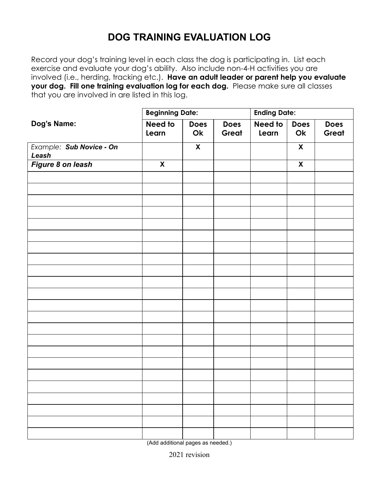## **DOG TRAINING EVALUATION LOG**

Record your dog's training level in each class the dog is participating in. List each exercise and evaluate your dog's ability. Also include non-4-H activities you are involved (i.e., herding, tracking etc.). **Have an adult leader or parent help you evaluate your dog. Fill one training evaluation log for each dog.** Please make sure all classes that you are involved in are listed in this log.

|                                   | <b>Beginning Date:</b>    |                         |                      | <b>Ending Date:</b> |                    |                      |
|-----------------------------------|---------------------------|-------------------------|----------------------|---------------------|--------------------|----------------------|
| Dog's Name:                       | Need to<br>Learn          | <b>Does</b><br>Ok       | <b>Does</b><br>Great | Need to<br>Learn    | <b>Does</b><br>Ok  | <b>Does</b><br>Great |
| Example: Sub Novice - On<br>Leash |                           | $\overline{\mathbf{X}}$ |                      |                     | $\pmb{\mathsf{X}}$ |                      |
| Figure 8 on leash                 | $\boldsymbol{\mathsf{X}}$ |                         |                      |                     | $\boldsymbol{X}$   |                      |
|                                   |                           |                         |                      |                     |                    |                      |
|                                   |                           |                         |                      |                     |                    |                      |
|                                   |                           |                         |                      |                     |                    |                      |
|                                   |                           |                         |                      |                     |                    |                      |
|                                   |                           |                         |                      |                     |                    |                      |
|                                   |                           |                         |                      |                     |                    |                      |
|                                   |                           |                         |                      |                     |                    |                      |
|                                   |                           |                         |                      |                     |                    |                      |
|                                   |                           |                         |                      |                     |                    |                      |
|                                   |                           |                         |                      |                     |                    |                      |
|                                   |                           |                         |                      |                     |                    |                      |
|                                   |                           |                         |                      |                     |                    |                      |
|                                   |                           |                         |                      |                     |                    |                      |
|                                   |                           |                         |                      |                     |                    |                      |
|                                   |                           |                         |                      |                     |                    |                      |
|                                   |                           |                         |                      |                     |                    |                      |
|                                   |                           |                         |                      |                     |                    |                      |
|                                   |                           |                         |                      |                     |                    |                      |
|                                   |                           |                         |                      |                     |                    |                      |
|                                   |                           |                         |                      |                     |                    |                      |
|                                   |                           |                         |                      |                     |                    |                      |
|                                   |                           |                         |                      |                     |                    |                      |

(Add additional pages as needed.)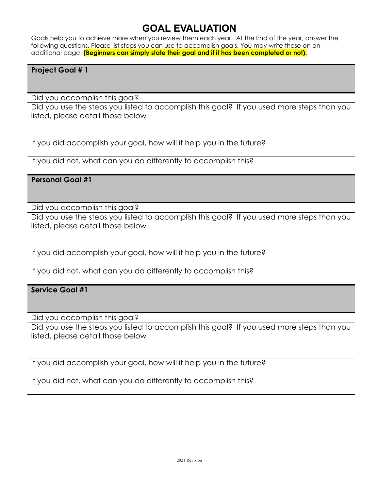### **GOAL EVALUATION**

Goals help you to achieve more when you review them each year. At the End of the year, answer the following questions. Please list steps you can use to accomplish goals. You may write these on an additional page. **(Beginners can simply state their goal and if it has been completed or not).**

#### **Project Goal # 1**

Did you accomplish this goal?

Did you use the steps you listed to accomplish this goal? If you used more steps than you listed, please detail those below

If you did accomplish your goal, how will it help you in the future?

If you did not, what can you do differently to accomplish this?

#### **Personal Goal #1**

Did you accomplish this goal?

Did you use the steps you listed to accomplish this goal? If you used more steps than you listed, please detail those below

If you did accomplish your goal, how will it help you in the future?

If you did not, what can you do differently to accomplish this?

#### **Service Goal #1**

Did you accomplish this goal?

Did you use the steps you listed to accomplish this goal? If you used more steps than you listed, please detail those below

If you did accomplish your goal, how will it help you in the future?

If you did not, what can you do differently to accomplish this?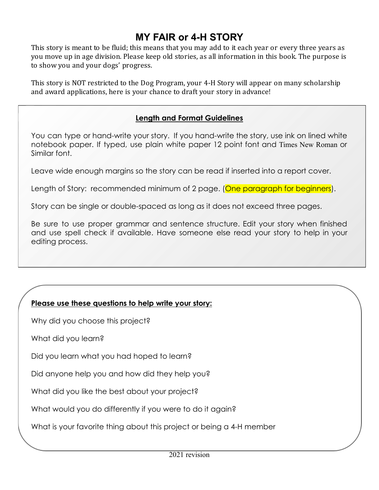## **MY FAIR or 4-H STORY**

This story is meant to be fluid; this means that you may add to it each year or every three years as you move up in age division. Please keep old stories, as all information in this book. The purpose is to show you and your dogs' progress.

This story is NOT restricted to the Dog Program, your 4-H Story will appear on many scholarship and award applications, here is your chance to draft your story in advance!

#### **Length and Format Guidelines**

You can type or hand-write your story. If you hand-write the story, use ink on lined white notebook paper. If typed, use plain white paper 12 point font and Times New Roman or Similar font.

Leave wide enough margins so the story can be read if inserted into a report cover.

Length of Story: recommended minimum of 2 page. (One paragraph for beginners).

Story can be single or double-spaced as long as it does not exceed three pages.

Be sure to use proper grammar and sentence structure. Edit your story when finished and use spell check if available. Have someone else read your story to help in your editing process.

### **Please use these questions to help write your story:**

Why did you choose this project?

What did you learn?

Did you learn what you had hoped to learn?

Did anyone help you and how did they help you?

What did you like the best about your project?

What would you do differently if you were to do it again?

What is your favorite thing about this project or being a 4-H member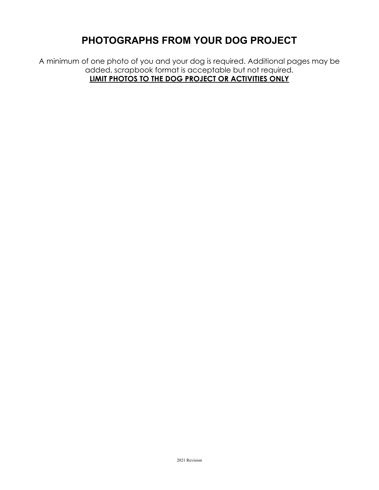## **PHOTOGRAPHS FROM YOUR DOG PROJECT**

A minimum of one photo of you and your dog is required. Additional pages may be added, scrapbook format is acceptable but not required. **LIMIT PHOTOS TO THE DOG PROJECT OR ACTIVITIES ONLY**